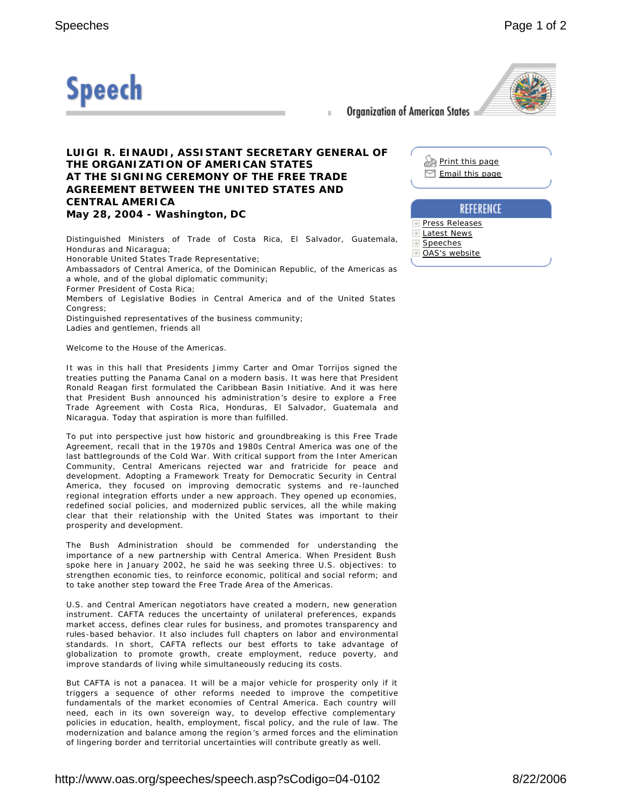

Organization of American States

Ŀ

 $\rightarrow$ 

## **LUIGI R. EINAUDI, ASSISTANT SECRETARY GENERAL OF THE ORGANIZATION OF AMERICAN STATES AT THE SIGNING CEREMONY OF THE FREE TRADE AGREEMENT BETWEEN THE UNITED STATES AND CENTRAL AMERICA May 28, 2004 - Washington, DC**

Distinguished Ministers of Trade of Costa Rica, El Salvador, Guatemala, Honduras and Nicaragua; Honorable United States Trade Representative; Ambassadors of Central America, of the Dominican Republic, of the Americas as

a whole, and of the global diplomatic community; Former President of Costa Rica;

Members of Legislative Bodies in Central America and of the United States Congress:

Distinguished representatives of the business community;

Ladies and gentlemen, friends all

Welcome to the House of the Americas.

It was in this hall that Presidents Jimmy Carter and Omar Torrijos signed the treaties putting the Panama Canal on a modern basis. It was here that President Ronald Reagan first formulated the Caribbean Basin Initiative. And it was here that President Bush announced his administration's desire to explore a Free Trade Agreement with Costa Rica, Honduras, El Salvador, Guatemala and Nicaragua. Today that aspiration is more than fulfilled.

To put into perspective just how historic and groundbreaking is this Free Trade Agreement, recall that in the 1970s and 1980s Central America was one of the last battlegrounds of the Cold War. With critical support from the Inter American Community, Central Americans rejected war and fratricide for peace and development. Adopting a Framework Treaty for Democratic Security in Central America, they focused on improving democratic systems and re-launched regional integration efforts under a new approach. They opened up economies, redefined social policies, and modernized public services, all the while making clear that their relationship with the United States was important to their prosperity and development.

The Bush Administration should be commended for understanding the importance of a new partnership with Central America. When President Bush spoke here in January 2002, he said he was seeking three U.S. objectives: to strengthen economic ties, to reinforce economic, political and social reform; and to take another step toward the Free Trade Area of the Americas.

U.S. and Central American negotiators have created a modern, new generation instrument. CAFTA reduces the uncertainty of unilateral preferences, expands market access, defines clear rules for business, and promotes transparency and rules-based behavior. It also includes full chapters on labor and environmental standards. In short, CAFTA reflects our best efforts to take advantage of globalization to promote growth, create employment, reduce poverty, and improve standards of living while simultaneously reducing its costs.

But CAFTA is not a panacea. It will be a major vehicle for prosperity only if it triggers a sequence of other reforms needed to improve the competitive fundamentals of the market economies of Central America. Each country will need, each in its own sovereign way, to develop effective complementary policies in education, health, employment, fiscal policy, and the rule of law. The modernization and balance among the region's armed forces and the elimination of lingering border and territorial uncertainties will contribute greatly as well.

| Print this page<br>$\Box$ Email this page        |                  |
|--------------------------------------------------|------------------|
|                                                  | <b>REFERENCE</b> |
| <b>Press Releases</b><br>Latest News<br>Speeches |                  |

OAS's website